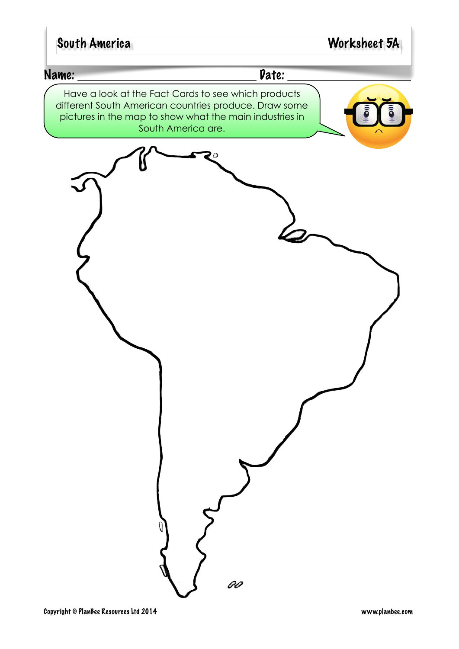## South America Worksheet 5A

#### Name: \_\_\_\_\_\_\_\_\_\_\_\_\_\_\_\_\_\_\_\_\_\_\_\_\_\_\_\_\_ Date: \_\_\_\_\_\_\_\_\_\_\_\_\_\_\_\_\_\_\_\_

Have a look at the Fact Cards to see which products different South American countries produce. Draw some pictures in the map to show what the main industries in South America are.

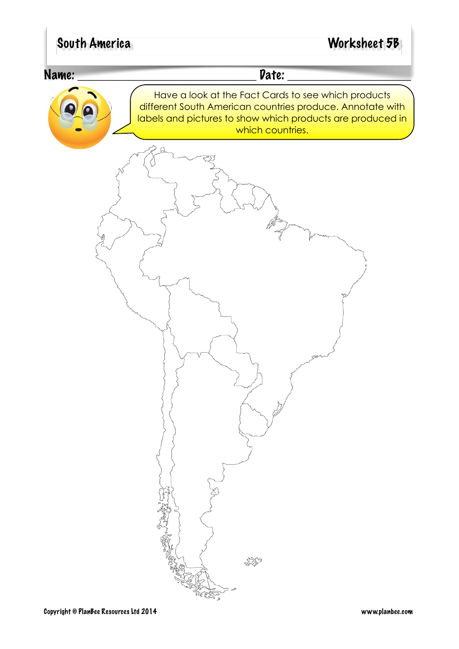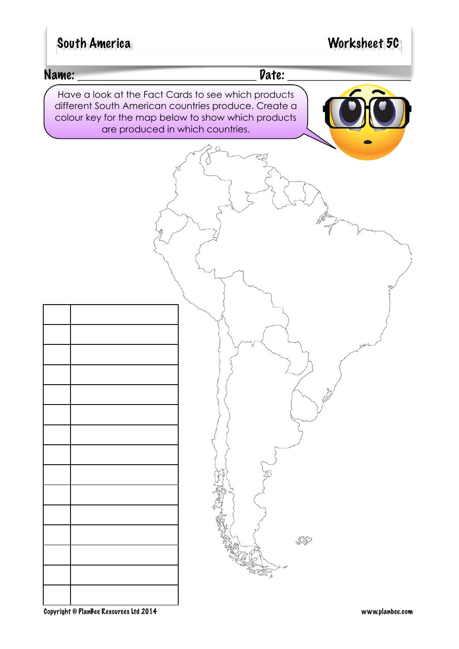## South America Worksheet 5C

#### Name: \_\_\_\_\_\_\_\_\_\_\_\_\_\_\_\_\_\_\_\_\_\_\_\_\_\_\_\_\_ Date: \_\_\_\_\_\_\_\_\_\_\_\_\_\_\_\_\_\_\_\_

Have a look at the Fact Cards to see which products different South American countries produce. Create a colour key for the map below to show which products are produced in which countries.

\$79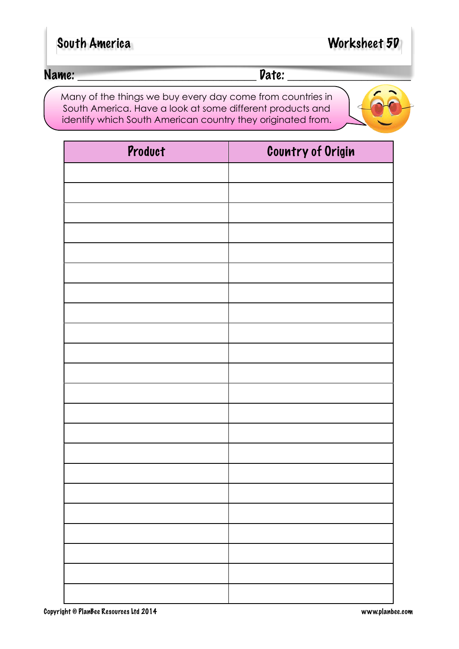| Worksheet 50 |
|--------------|
|              |

Many of the things we buy every day come from countries in South America. Have a look at some different products and identify which South American country they originated from.

Product Country of Origin